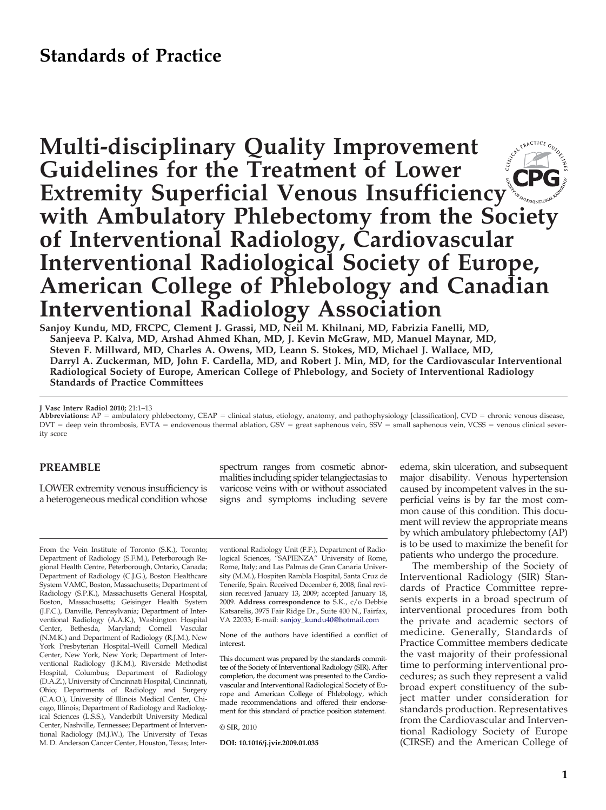# **Standards of Practice**

**Multi-disciplinary Quality Improvement** CALPRACTICE GUIDEL **Guidelines for the Treatment of Lower Extremity Superficial Venous Insufficiency with Ambulatory Phlebectomy from the Society of Interventional Radiology, Cardiovascular Interventional Radiological Society of Europe, American College of Phlebology and Canadian Interventional Radiology Association**

**Sanjoy Kundu, MD, FRCPC, Clement J. Grassi, MD, Neil M. Khilnani, MD, Fabrizia Fanelli, MD, Sanjeeva P. Kalva, MD, Arshad Ahmed Khan, MD, J. Kevin McGraw, MD, Manuel Maynar, MD, Steven F. Millward, MD, Charles A. Owens, MD, Leann S. Stokes, MD, Michael J. Wallace, MD, Darryl A. Zuckerman, MD, John F. Cardella, MD, and Robert J. Min, MD, for the Cardiovascular Interventional Radiological Society of Europe, American College of Phlebology, and Society of Interventional Radiology Standards of Practice Committees**

#### **J Vasc Interv Radiol 2010;** 21:1–13

Abbreviations: AP = ambulatory phlebectomy, CEAP = clinical status, etiology, anatomy, and pathophysiology [classification], CVD = chronic venous disease, DVT = deep vein thrombosis, EVTA = endovenous thermal ablation, GSV = great saphenous vein, SSV = small saphenous vein, VCSS = venous clinical severity score

# **PREAMBLE**

LOWER extremity venous insufficiency is a heterogeneous medical condition whose

spectrum ranges from cosmetic abnormalities including spider telangiectasias to varicose veins with or without associated signs and symptoms including severe

From the Vein Institute of Toronto (S.K.), Toronto; Department of Radiology (S.F.M.), Peterborough Regional Health Centre, Peterborough, Ontario, Canada; Department of Radiology (C.J.G.), Boston Healthcare System VAMC, Boston, Massachusetts; Department of Radiology (S.P.K.), Massachusetts General Hospital, Boston, Massachusetts; Geisinger Health System (J.F.C.), Danville, Pennsylvania; Department of Interventional Radiology (A.A.K.), Washington Hospital Center, Bethesda, Maryland; Cornell Vascular (N.M.K.) and Department of Radiology (R.J.M.), New York Presbyterian Hospital–Weill Cornell Medical Center, New York, New York; Department of Interventional Radiology (J.K.M.), Riverside Methodist Hospital, Columbus; Department of Radiology (D.A.Z.), University of Cincinnati Hospital, Cincinnati, Ohio; Departments of Radiology and Surgery (C.A.O.), University of Illinois Medical Center, Chicago, Illinois; Department of Radiology and Radiological Sciences (L.S.S.), Vanderbilt University Medical Center, Nashville, Tennessee; Department of Interventional Radiology (M.J.W.), The University of Texas M. D. Anderson Cancer Center, Houston, Texas; Inter-

ventional Radiology Unit (F.F.), Department of Radiological Sciences, "SAPIENZA" University of Rome, Rome, Italy; and Las Palmas de Gran Canaria University (M.M.), Hospiten Rambla Hospital, Santa Cruz de Tenerife, Spain. Received December 6, 2008; final revision received January 13, 2009; accepted January 18, 2009. **Address correspondence to** S.K., c/o Debbie Katsarelis, 3975 Fair Ridge Dr., Suite 400 N., Fairfax, VA 22033; E-mail: [sanjoy\\_kundu40@hotmail.com](mailto:sanjoy_kundu40@hotmail.com)

None of the authors have identified a conflict of interest.

This document was prepared by the standards committee of the Society of Interventional Radiology (SIR). After completion, the document was presented to the Cardiovascular and Interventional Radiological Society of Europe and American College of Phlebology, which made recommendations and offered their endorsement for this standard of practice position statement.

© SIR, 2010

**DOI: 10.1016/j.jvir.2009.01.035**

edema, skin ulceration, and subsequent major disability. Venous hypertension caused by incompetent valves in the superficial veins is by far the most common cause of this condition. This document will review the appropriate means by which ambulatory phlebectomy (AP) is to be used to maximize the benefit for patients who undergo the procedure.

The membership of the Society of Interventional Radiology (SIR) Standards of Practice Committee represents experts in a broad spectrum of interventional procedures from both the private and academic sectors of medicine. Generally, Standards of Practice Committee members dedicate the vast majority of their professional time to performing interventional procedures; as such they represent a valid broad expert constituency of the subject matter under consideration for standards production. Representatives from the Cardiovascular and Interventional Radiology Society of Europe (CIRSE) and the American College of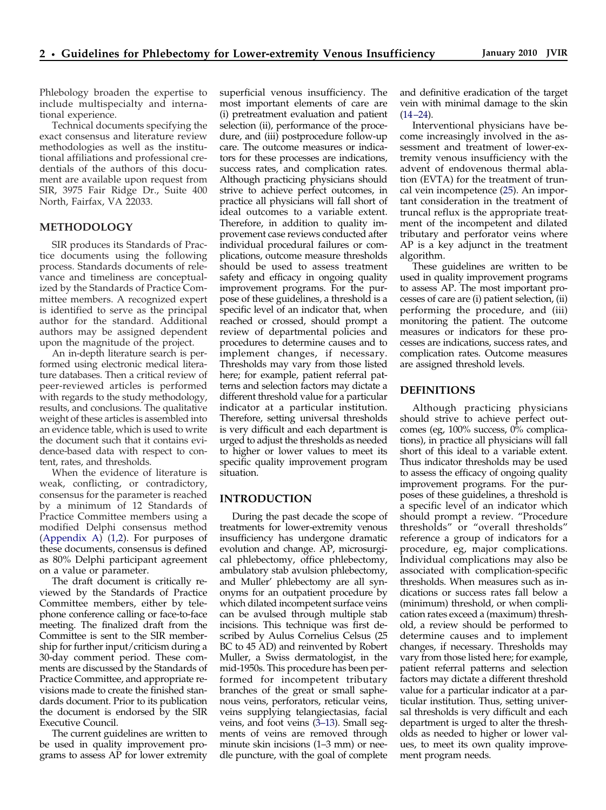Phlebology broaden the expertise to include multispecialty and international experience.

Technical documents specifying the exact consensus and literature review methodologies as well as the institutional affiliations and professional credentials of the authors of this document are available upon request from SIR, 3975 Fair Ridge Dr., Suite 400 North, Fairfax, VA 22033.

# **METHODOLOGY**

SIR produces its Standards of Practice documents using the following process. Standards documents of relevance and timeliness are conceptualized by the Standards of Practice Committee members. A recognized expert is identified to serve as the principal author for the standard. Additional authors may be assigned dependent upon the magnitude of the project.

An in-depth literature search is performed using electronic medical literature databases. Then a critical review of peer-reviewed articles is performed with regards to the study methodology, results, and conclusions. The qualitative weight of these articles is assembled into an evidence table, which is used to write the document such that it contains evidence-based data with respect to content, rates, and thresholds.

When the evidence of literature is weak, conflicting, or contradictory, consensus for the parameter is reached by a minimum of 12 Standards of Practice Committee members using a modified Delphi consensus method [\(Appendix A\)](#page-10-0) [\(1,2\)](#page-10-0). For purposes of these documents, consensus is defined as 80% Delphi participant agreement on a value or parameter.

The draft document is critically reviewed by the Standards of Practice Committee members, either by telephone conference calling or face-to-face meeting. The finalized draft from the Committee is sent to the SIR membership for further input/criticism during a 30-day comment period. These comments are discussed by the Standards of Practice Committee, and appropriate revisions made to create the finished standards document. Prior to its publication the document is endorsed by the SIR Executive Council.

The current guidelines are written to be used in quality improvement programs to assess AP for lower extremity

superficial venous insufficiency. The most important elements of care are (i) pretreatment evaluation and patient selection (ii), performance of the procedure, and (iii) postprocedure follow-up care. The outcome measures or indicators for these processes are indications, success rates, and complication rates. Although practicing physicians should strive to achieve perfect outcomes, in practice all physicians will fall short of ideal outcomes to a variable extent. Therefore, in addition to quality improvement case reviews conducted after individual procedural failures or complications, outcome measure thresholds should be used to assess treatment safety and efficacy in ongoing quality improvement programs. For the purpose of these guidelines, a threshold is a specific level of an indicator that, when reached or crossed, should prompt a review of departmental policies and procedures to determine causes and to implement changes, if necessary. Thresholds may vary from those listed here; for example, patient referral patterns and selection factors may dictate a different threshold value for a particular indicator at a particular institution. Therefore, setting universal thresholds is very difficult and each department is urged to adjust the thresholds as needed to higher or lower values to meet its specific quality improvement program situation.

## **INTRODUCTION**

During the past decade the scope of treatments for lower-extremity venous insufficiency has undergone dramatic evolution and change. AP, microsurgical phlebectomy, office phlebectomy, ambulatory stab avulsion phlebectomy, and Muller' phlebectomy are all synonyms for an outpatient procedure by which dilated incompetent surface veins can be avulsed through multiple stab incisions. This technique was first described by Aulus Cornelius Celsus (25 BC to 45 AD) and reinvented by Robert Muller, a Swiss dermatologist, in the mid-1950s. This procedure has been performed for incompetent tributary branches of the great or small saphenous veins, perforators, reticular veins, veins supplying telangiectasias, facial veins, and foot veins [\(3–13\)](#page-10-0). Small segments of veins are removed through minute skin incisions (1–3 mm) or needle puncture, with the goal of complete

and definitive eradication of the target vein with minimal damage to the skin  $(14 - 24)$ .

Interventional physicians have become increasingly involved in the assessment and treatment of lower-extremity venous insufficiency with the advent of endovenous thermal ablation (EVTA) for the treatment of truncal vein incompetence [\(25\)](#page-11-0). An important consideration in the treatment of truncal reflux is the appropriate treatment of the incompetent and dilated tributary and perforator veins where AP is a key adjunct in the treatment algorithm.

These guidelines are written to be used in quality improvement programs to assess AP. The most important processes of care are (i) patient selection, (ii) performing the procedure, and (iii) monitoring the patient. The outcome measures or indicators for these processes are indications, success rates, and complication rates. Outcome measures are assigned threshold levels.

## **DEFINITIONS**

Although practicing physicians should strive to achieve perfect outcomes (eg, 100% success, 0% complications), in practice all physicians will fall short of this ideal to a variable extent. Thus indicator thresholds may be used to assess the efficacy of ongoing quality improvement programs. For the purposes of these guidelines, a threshold is a specific level of an indicator which should prompt a review. "Procedure thresholds" or "overall thresholds" reference a group of indicators for a procedure, eg, major complications. Individual complications may also be associated with complication-specific thresholds. When measures such as indications or success rates fall below a (minimum) threshold, or when complication rates exceed a (maximum) threshold, a review should be performed to determine causes and to implement changes, if necessary. Thresholds may vary from those listed here; for example, patient referral patterns and selection factors may dictate a different threshold value for a particular indicator at a particular institution. Thus, setting universal thresholds is very difficult and each department is urged to alter the thresholds as needed to higher or lower values, to meet its own quality improvement program needs.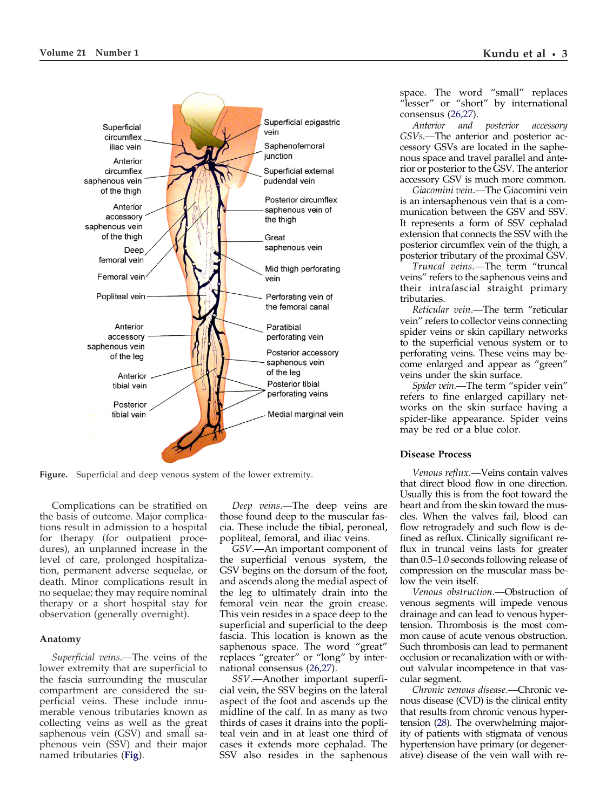

**Figure.** Superficial and deep venous system of the lower extremity.

Complications can be stratified on the basis of outcome. Major complications result in admission to a hospital for therapy (for outpatient procedures), an unplanned increase in the level of care, prolonged hospitalization, permanent adverse sequelae, or death. Minor complications result in no sequelae; they may require nominal therapy or a short hospital stay for observation (generally overnight).

#### **Anatomy**

*Superficial veins*.—The veins of the lower extremity that are superficial to the fascia surrounding the muscular compartment are considered the superficial veins. These include innumerable venous tributaries known as collecting veins as well as the great saphenous vein (GSV) and small saphenous vein (SSV) and their major named tributaries (**Fig**).

*Deep veins*.—The deep veins are those found deep to the muscular fascia. These include the tibial, peroneal, popliteal, femoral, and iliac veins.

*GSV*.—An important component of the superficial venous system, the GSV begins on the dorsum of the foot, and ascends along the medial aspect of the leg to ultimately drain into the femoral vein near the groin crease. This vein resides in a space deep to the superficial and superficial to the deep fascia. This location is known as the saphenous space. The word "great" replaces "greater" or "long" by international consensus [\(26,27\)](#page-11-0).

*SSV*.—Another important superficial vein, the SSV begins on the lateral aspect of the foot and ascends up the midline of the calf. In as many as two thirds of cases it drains into the popliteal vein and in at least one third of cases it extends more cephalad. The SSV also resides in the saphenous

space. The word "small" replaces "lesser" or "short" by international consensus [\(26,27\)](#page-11-0).

*Anterior and posterior accessory GSVs*.—The anterior and posterior accessory GSVs are located in the saphenous space and travel parallel and anterior or posterior to the GSV. The anterior accessory GSV is much more common.

*Giacomini vein*.—The Giacomini vein is an intersaphenous vein that is a communication between the GSV and SSV. It represents a form of SSV cephalad extension that connects the SSV with the posterior circumflex vein of the thigh, a posterior tributary of the proximal GSV.

*Truncal veins*.—The term "truncal veins" refers to the saphenous veins and their intrafascial straight primary tributaries.

*Reticular vein*.—The term "reticular vein" refers to collector veins connecting spider veins or skin capillary networks to the superficial venous system or to perforating veins. These veins may become enlarged and appear as "green" veins under the skin surface.

*Spider vein*.—The term "spider vein" refers to fine enlarged capillary networks on the skin surface having a spider-like appearance. Spider veins may be red or a blue color.

## **Disease Process**

*Venous reflux*.—Veins contain valves that direct blood flow in one direction. Usually this is from the foot toward the heart and from the skin toward the muscles. When the valves fail, blood can flow retrogradely and such flow is defined as reflux. Clinically significant reflux in truncal veins lasts for greater than 0.5–1.0 seconds following release of compression on the muscular mass below the vein itself.

*Venous obstruction*.—Obstruction of venous segments will impede venous drainage and can lead to venous hypertension. Thrombosis is the most common cause of acute venous obstruction. Such thrombosis can lead to permanent occlusion or recanalization with or without valvular incompetence in that vascular segment.

*Chronic venous disease*.—Chronic venous disease (CVD) is the clinical entity that results from chronic venous hypertension [\(28\)](#page-11-0). The overwhelming majority of patients with stigmata of venous hypertension have primary (or degenerative) disease of the vein wall with re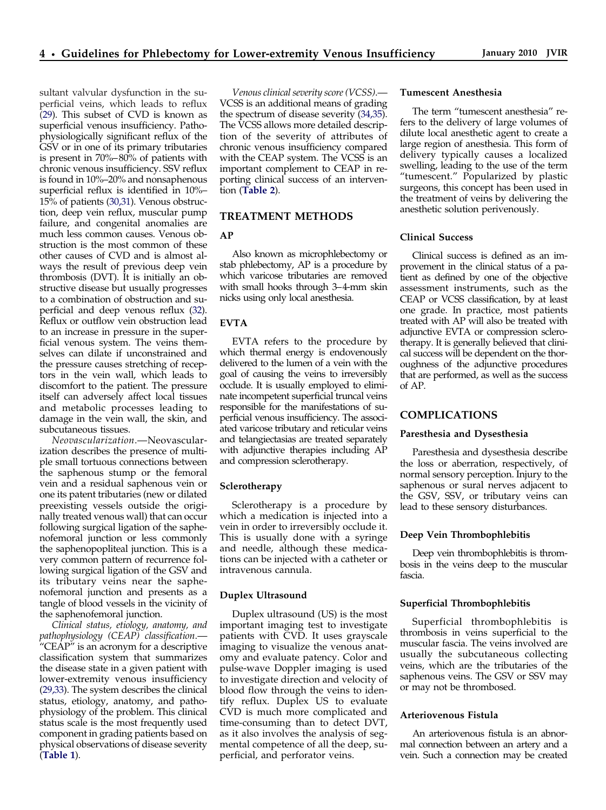sultant valvular dysfunction in the superficial veins, which leads to reflux [\(29\)](#page-11-0). This subset of CVD is known as superficial venous insufficiency. Pathophysiologically significant reflux of the GSV or in one of its primary tributaries is present in 70%– 80% of patients with chronic venous insufficiency. SSV reflux is found in 10%–20% and nonsaphenous superficial reflux is identified in 10%– 15% of patients [\(30,31\)](#page-11-0). Venous obstruction, deep vein reflux, muscular pump failure, and congenital anomalies are much less common causes. Venous obstruction is the most common of these other causes of CVD and is almost always the result of previous deep vein thrombosis (DVT). It is initially an obstructive disease but usually progresses to a combination of obstruction and superficial and deep venous reflux [\(32\)](#page-11-0). Reflux or outflow vein obstruction lead to an increase in pressure in the superficial venous system. The veins themselves can dilate if unconstrained and the pressure causes stretching of receptors in the vein wall, which leads to discomfort to the patient. The pressure itself can adversely affect local tissues and metabolic processes leading to damage in the vein wall, the skin, and subcutaneous tissues.

*Neovascularization*.—Neovascularization describes the presence of multiple small tortuous connections between the saphenous stump or the femoral vein and a residual saphenous vein or one its patent tributaries (new or dilated preexisting vessels outside the originally treated venous wall) that can occur following surgical ligation of the saphenofemoral junction or less commonly the saphenopopliteal junction. This is a very common pattern of recurrence following surgical ligation of the GSV and its tributary veins near the saphenofemoral junction and presents as a tangle of blood vessels in the vicinity of the saphenofemoral junction.

*Clinical status, etiology, anatomy, and pathophysiology (CEAP) classification*.— "CEAP" is an acronym for a descriptive classification system that summarizes the disease state in a given patient with lower-extremity venous insufficiency [\(29,33\)](#page-11-0). The system describes the clinical status, etiology, anatomy, and pathophysiology of the problem. This clinical status scale is the most frequently used component in grading patients based on physical observations of disease severity (**[Table 1](#page-4-0)**).

*Venous clinical severity score (VCSS)*.— VCSS is an additional means of grading the spectrum of disease severity [\(34,35\)](#page-11-0). The VCSS allows more detailed description of the severity of attributes of chronic venous insufficiency compared with the CEAP system. The VCSS is an important complement to CEAP in reporting clinical success of an intervention (**[Table 2](#page-5-0)**).

# **TREATMENT METHODS**

## **AP**

Also known as microphlebectomy or stab phlebectomy, AP is a procedure by which varicose tributaries are removed with small hooks through 3–4-mm skin nicks using only local anesthesia.

## **EVTA**

EVTA refers to the procedure by which thermal energy is endovenously delivered to the lumen of a vein with the goal of causing the veins to irreversibly occlude. It is usually employed to eliminate incompetent superficial truncal veins responsible for the manifestations of superficial venous insufficiency. The associated varicose tributary and reticular veins and telangiectasias are treated separately with adjunctive therapies including AP and compression sclerotherapy.

## **Sclerotherapy**

Sclerotherapy is a procedure by which a medication is injected into a vein in order to irreversibly occlude it. This is usually done with a syringe and needle, although these medications can be injected with a catheter or intravenous cannula.

## **Duplex Ultrasound**

Duplex ultrasound (US) is the most important imaging test to investigate patients with CVD. It uses grayscale imaging to visualize the venous anatomy and evaluate patency. Color and pulse-wave Doppler imaging is used to investigate direction and velocity of blood flow through the veins to identify reflux. Duplex US to evaluate CVD is much more complicated and time-consuming than to detect DVT, as it also involves the analysis of segmental competence of all the deep, superficial, and perforator veins.

#### **Tumescent Anesthesia**

The term "tumescent anesthesia" refers to the delivery of large volumes of dilute local anesthetic agent to create a large region of anesthesia. This form of delivery typically causes a localized swelling, leading to the use of the term "tumescent." Popularized by plastic surgeons, this concept has been used in the treatment of veins by delivering the anesthetic solution perivenously.

## **Clinical Success**

Clinical success is defined as an improvement in the clinical status of a patient as defined by one of the objective assessment instruments, such as the CEAP or VCSS classification, by at least one grade. In practice, most patients treated with AP will also be treated with adjunctive EVTA or compression sclerotherapy. It is generally believed that clinical success will be dependent on the thoroughness of the adjunctive procedures that are performed, as well as the success of AP.

## **COMPLICATIONS**

## **Paresthesia and Dysesthesia**

Paresthesia and dysesthesia describe the loss or aberration, respectively, of normal sensory perception. Injury to the saphenous or sural nerves adjacent to the GSV, SSV, or tributary veins can lead to these sensory disturbances.

## **Deep Vein Thrombophlebitis**

Deep vein thrombophlebitis is thrombosis in the veins deep to the muscular fascia.

## **Superficial Thrombophlebitis**

Superficial thrombophlebitis is thrombosis in veins superficial to the muscular fascia. The veins involved are usually the subcutaneous collecting veins, which are the tributaries of the saphenous veins. The GSV or SSV may or may not be thrombosed.

## **Arteriovenous Fistula**

An arteriovenous fistula is an abnormal connection between an artery and a vein. Such a connection may be created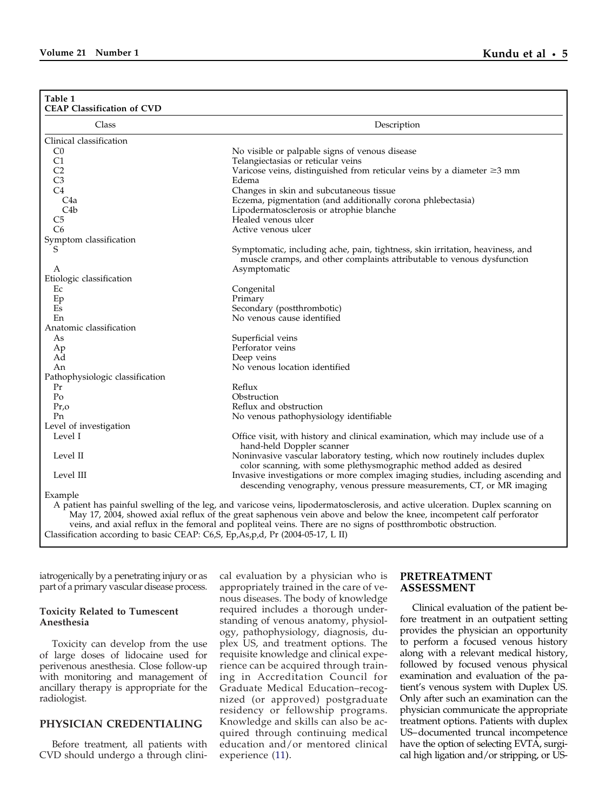<span id="page-4-0"></span>

| Table 1<br><b>CEAP Classification of CVD</b>                                   |                                                                                                                                                                                                                                                                                                                                                                        |  |
|--------------------------------------------------------------------------------|------------------------------------------------------------------------------------------------------------------------------------------------------------------------------------------------------------------------------------------------------------------------------------------------------------------------------------------------------------------------|--|
| Class                                                                          | Description                                                                                                                                                                                                                                                                                                                                                            |  |
| Clinical classification                                                        |                                                                                                                                                                                                                                                                                                                                                                        |  |
| C <sub>0</sub>                                                                 | No visible or palpable signs of venous disease                                                                                                                                                                                                                                                                                                                         |  |
| C1                                                                             | Telangiectasias or reticular veins                                                                                                                                                                                                                                                                                                                                     |  |
| C <sub>2</sub>                                                                 | Varicose veins, distinguished from reticular veins by a diameter $\geq$ 3 mm                                                                                                                                                                                                                                                                                           |  |
| C <sub>3</sub>                                                                 | Edema                                                                                                                                                                                                                                                                                                                                                                  |  |
| C4                                                                             | Changes in skin and subcutaneous tissue                                                                                                                                                                                                                                                                                                                                |  |
| C <sub>4</sub> a                                                               | Eczema, pigmentation (and additionally corona phlebectasia)                                                                                                                                                                                                                                                                                                            |  |
| C <sub>4</sub> b                                                               | Lipodermatosclerosis or atrophie blanche                                                                                                                                                                                                                                                                                                                               |  |
| C <sub>5</sub>                                                                 | Healed venous ulcer                                                                                                                                                                                                                                                                                                                                                    |  |
| C6                                                                             | Active venous ulcer                                                                                                                                                                                                                                                                                                                                                    |  |
| Symptom classification                                                         |                                                                                                                                                                                                                                                                                                                                                                        |  |
| S                                                                              | Symptomatic, including ache, pain, tightness, skin irritation, heaviness, and                                                                                                                                                                                                                                                                                          |  |
|                                                                                | muscle cramps, and other complaints attributable to venous dysfunction                                                                                                                                                                                                                                                                                                 |  |
| A                                                                              | Asymptomatic                                                                                                                                                                                                                                                                                                                                                           |  |
| Etiologic classification                                                       |                                                                                                                                                                                                                                                                                                                                                                        |  |
| Ec                                                                             | Congenital                                                                                                                                                                                                                                                                                                                                                             |  |
| Ep                                                                             | Primary                                                                                                                                                                                                                                                                                                                                                                |  |
| Es                                                                             | Secondary (postthrombotic)                                                                                                                                                                                                                                                                                                                                             |  |
| En                                                                             | No venous cause identified                                                                                                                                                                                                                                                                                                                                             |  |
| Anatomic classification                                                        |                                                                                                                                                                                                                                                                                                                                                                        |  |
| As                                                                             | Superficial veins                                                                                                                                                                                                                                                                                                                                                      |  |
| Ap                                                                             | Perforator veins                                                                                                                                                                                                                                                                                                                                                       |  |
| Ad                                                                             | Deep veins                                                                                                                                                                                                                                                                                                                                                             |  |
| An                                                                             | No venous location identified                                                                                                                                                                                                                                                                                                                                          |  |
| Pathophysiologic classification                                                |                                                                                                                                                                                                                                                                                                                                                                        |  |
| Pr                                                                             | Reflux                                                                                                                                                                                                                                                                                                                                                                 |  |
| Po                                                                             | Obstruction                                                                                                                                                                                                                                                                                                                                                            |  |
| $Pr_{,O}$                                                                      | Reflux and obstruction                                                                                                                                                                                                                                                                                                                                                 |  |
| Pn                                                                             | No venous pathophysiology identifiable                                                                                                                                                                                                                                                                                                                                 |  |
| Level of investigation                                                         |                                                                                                                                                                                                                                                                                                                                                                        |  |
| Level I                                                                        | Office visit, with history and clinical examination, which may include use of a<br>hand-held Doppler scanner                                                                                                                                                                                                                                                           |  |
| Level II                                                                       | Noninvasive vascular laboratory testing, which now routinely includes duplex                                                                                                                                                                                                                                                                                           |  |
|                                                                                | color scanning, with some plethysmographic method added as desired                                                                                                                                                                                                                                                                                                     |  |
| Level III                                                                      | Invasive investigations or more complex imaging studies, including ascending and                                                                                                                                                                                                                                                                                       |  |
|                                                                                | descending venography, venous pressure measurements, CT, or MR imaging                                                                                                                                                                                                                                                                                                 |  |
| Example                                                                        |                                                                                                                                                                                                                                                                                                                                                                        |  |
|                                                                                | A patient has painful swelling of the leg, and varicose veins, lipodermatosclerosis, and active ulceration. Duplex scanning on<br>May 17, 2004, showed axial reflux of the great saphenous vein above and below the knee, incompetent calf perforator<br>veins, and axial reflux in the femoral and popliteal veins. There are no signs of postthrombotic obstruction. |  |
| Classification according to basic CEAP: C6,S, Ep,As,p,d, Pr (2004-05-17, L II) |                                                                                                                                                                                                                                                                                                                                                                        |  |

iatrogenically by a penetrating injury or as part of a primary vascular disease process.

## **Toxicity Related to Tumescent Anesthesia**

Toxicity can develop from the use of large doses of lidocaine used for perivenous anesthesia. Close follow-up with monitoring and management of ancillary therapy is appropriate for the radiologist.

# **PHYSICIAN CREDENTIALING**

Before treatment, all patients with CVD should undergo a through clini-

cal evaluation by a physician who is appropriately trained in the care of venous diseases. The body of knowledge required includes a thorough understanding of venous anatomy, physiology, pathophysiology, diagnosis, duplex US, and treatment options. The requisite knowledge and clinical experience can be acquired through training in Accreditation Council for Graduate Medical Education–recognized (or approved) postgraduate residency or fellowship programs. Knowledge and skills can also be acquired through continuing medical education and/or mentored clinical experience [\(11\)](#page-11-0).

# **PRETREATMENT ASSESSMENT**

Clinical evaluation of the patient before treatment in an outpatient setting provides the physician an opportunity to perform a focused venous history along with a relevant medical history, followed by focused venous physical examination and evaluation of the patient's venous system with Duplex US. Only after such an examination can the physician communicate the appropriate treatment options. Patients with duplex US–documented truncal incompetence have the option of selecting EVTA, surgical high ligation and/or stripping, or US-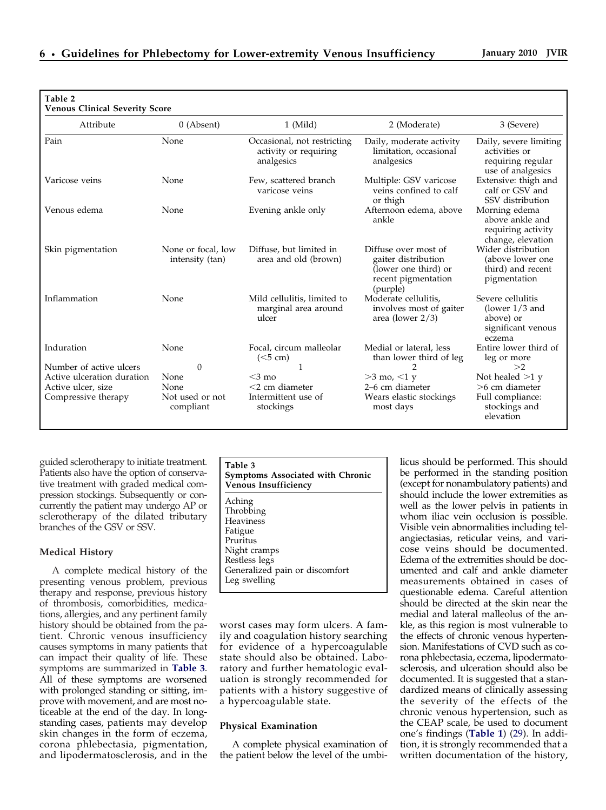<span id="page-5-0"></span>

| Attribute                  | $0$ (Absent)                          | $1 \times (Mild)$                                                  | 2 (Moderate)                                                                                           | 3 (Severe)                                                                         |
|----------------------------|---------------------------------------|--------------------------------------------------------------------|--------------------------------------------------------------------------------------------------------|------------------------------------------------------------------------------------|
| Pain                       | None                                  | Occasional, not restricting<br>activity or requiring<br>analgesics | Daily, moderate activity<br>limitation, occasional<br>analgesics                                       | Daily, severe limiting<br>activities or<br>requiring regular<br>use of analgesics  |
| Varicose veins             | None                                  | Few, scattered branch<br>varicose veins                            | Multiple: GSV varicose<br>veins confined to calf<br>or thigh                                           | Extensive: thigh and<br>calf or GSV and<br>SSV distribution                        |
| Venous edema               | None                                  | Evening ankle only                                                 | Afternoon edema, above<br>ankle                                                                        | Morning edema<br>above ankle and<br>requiring activity<br>change, elevation        |
| Skin pigmentation          | None or focal, low<br>intensity (tan) | Diffuse, but limited in<br>area and old (brown)                    | Diffuse over most of<br>gaiter distribution<br>(lower one third) or<br>recent pigmentation<br>(purple) | Wider distribution<br>(above lower one<br>third) and recent<br>pigmentation        |
| Inflammation               | None                                  | Mild cellulitis, limited to<br>marginal area around<br>ulcer       | Moderate cellulitis,<br>involves most of gaiter<br>area (lower $2/3$ )                                 | Severe cellulitis<br>(lower $1/3$ and<br>above) or<br>significant venous<br>eczema |
| Induration                 | None                                  | Focal, circum malleolar<br>(<5 cm)                                 | Medial or lateral, less<br>than lower third of leg                                                     | Entire lower third of<br>leg or more                                               |
| Number of active ulcers    | $\boldsymbol{0}$                      | 1                                                                  | $\overline{2}$                                                                                         | >2                                                                                 |
| Active ulceration duration | None                                  | $<$ 3 mo                                                           | $>3$ mo, $<1$ y                                                                                        | Not healed $>1$ y                                                                  |
| Active ulcer, size         | None                                  | $<$ 2 cm diameter                                                  | 2-6 cm diameter                                                                                        | $>6$ cm diameter                                                                   |
| Compressive therapy        | Not used or not<br>compliant          | Intermittent use of<br>stockings                                   | Wears elastic stockings<br>most days                                                                   | Full compliance:<br>stockings and<br>elevation                                     |

guided sclerotherapy to initiate treatment. Patients also have the option of conservative treatment with graded medical compression stockings. Subsequently or concurrently the patient may undergo AP or sclerotherapy of the dilated tributary branches of the GSV or SSV.

# **Medical History**

A complete medical history of the presenting venous problem, previous therapy and response, previous history of thrombosis, comorbidities, medications, allergies, and any pertinent family history should be obtained from the patient. Chronic venous insufficiency causes symptoms in many patients that can impact their quality of life. These symptoms are summarized in **Table 3**. All of these symptoms are worsened with prolonged standing or sitting, improve with movement, and are most noticeable at the end of the day. In longstanding cases, patients may develop skin changes in the form of eczema, corona phlebectasia, pigmentation, and lipodermatosclerosis, and in the

| Table 3<br>Symptoms Associated with Chronic<br><b>Venous Insufficiency</b>                                                                        |  |  |
|---------------------------------------------------------------------------------------------------------------------------------------------------|--|--|
| Aching<br>Throbbing<br><b>Heaviness</b><br>Fatigue<br>Pruritus<br>Night cramps<br>Restless legs<br>Generalized pain or discomfort<br>Leg swelling |  |  |

worst cases may form ulcers. A family and coagulation history searching for evidence of a hypercoagulable state should also be obtained. Laboratory and further hematologic evaluation is strongly recommended for patients with a history suggestive of a hypercoagulable state.

## **Physical Examination**

A complete physical examination of the patient below the level of the umbilicus should be performed. This should be performed in the standing position (except for nonambulatory patients) and should include the lower extremities as well as the lower pelvis in patients in whom iliac vein occlusion is possible. Visible vein abnormalities including telangiectasias, reticular veins, and varicose veins should be documented. Edema of the extremities should be documented and calf and ankle diameter measurements obtained in cases of questionable edema. Careful attention should be directed at the skin near the medial and lateral malleolus of the ankle, as this region is most vulnerable to the effects of chronic venous hypertension. Manifestations of CVD such as corona phlebectasia, eczema, lipodermatosclerosis, and ulceration should also be documented. It is suggested that a standardized means of clinically assessing the severity of the effects of the chronic venous hypertension, such as the CEAP scale, be used to document one's findings (**[Table 1](#page-4-0)**) [\(29\)](#page-11-0). In addition, it is strongly recommended that a written documentation of the history,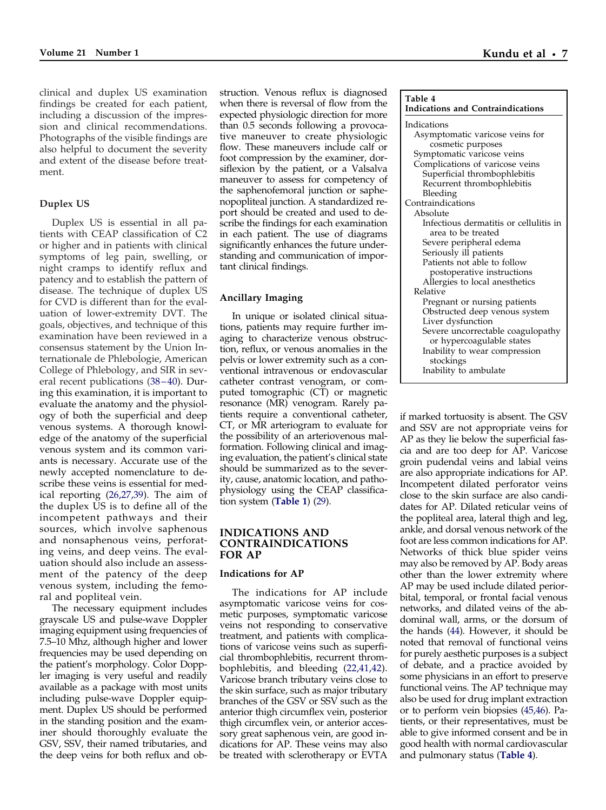<span id="page-6-0"></span>clinical and duplex US examination findings be created for each patient, including a discussion of the impression and clinical recommendations. Photographs of the visible findings are also helpful to document the severity and extent of the disease before treatment.

#### **Duplex US**

Duplex US is essential in all patients with CEAP classification of C2 or higher and in patients with clinical symptoms of leg pain, swelling, or night cramps to identify reflux and patency and to establish the pattern of disease. The technique of duplex US for CVD is different than for the evaluation of lower-extremity DVT. The goals, objectives, and technique of this examination have been reviewed in a consensus statement by the Union Internationale de Phlebologie, American College of Phlebology, and SIR in several recent publications (38-40). During this examination, it is important to evaluate the anatomy and the physiology of both the superficial and deep venous systems. A thorough knowledge of the anatomy of the superficial venous system and its common variants is necessary. Accurate use of the newly accepted nomenclature to describe these veins is essential for medical reporting [\(26,27,39\)](#page-11-0). The aim of the duplex US is to define all of the incompetent pathways and their sources, which involve saphenous and nonsaphenous veins, perforating veins, and deep veins. The evaluation should also include an assessment of the patency of the deep venous system, including the femoral and popliteal vein.

The necessary equipment includes grayscale US and pulse-wave Doppler imaging equipment using frequencies of 7.5–10 Mhz, although higher and lower frequencies may be used depending on the patient's morphology. Color Doppler imaging is very useful and readily available as a package with most units including pulse-wave Doppler equipment. Duplex US should be performed in the standing position and the examiner should thoroughly evaluate the GSV, SSV, their named tributaries, and the deep veins for both reflux and obstruction. Venous reflux is diagnosed when there is reversal of flow from the expected physiologic direction for more than 0.5 seconds following a provocative maneuver to create physiologic flow. These maneuvers include calf or foot compression by the examiner, dorsiflexion by the patient, or a Valsalva maneuver to assess for competency of the saphenofemoral junction or saphenopopliteal junction. A standardized report should be created and used to describe the findings for each examination in each patient. The use of diagrams significantly enhances the future understanding and communication of important clinical findings.

## **Ancillary Imaging**

In unique or isolated clinical situations, patients may require further imaging to characterize venous obstruction, reflux, or venous anomalies in the pelvis or lower extremity such as a conventional intravenous or endovascular catheter contrast venogram, or computed tomographic (CT) or magnetic resonance (MR) venogram. Rarely patients require a conventional catheter, CT, or MR arteriogram to evaluate for the possibility of an arteriovenous malformation. Following clinical and imaging evaluation, the patient's clinical state should be summarized as to the severity, cause, anatomic location, and pathophysiology using the CEAP classification system (**[Table 1](#page-4-0)**) [\(29\)](#page-11-0).

## **INDICATIONS AND CONTRAINDICATIONS FOR AP**

#### **Indications for AP**

The indications for AP include asymptomatic varicose veins for cosmetic purposes, symptomatic varicose veins not responding to conservative treatment, and patients with complications of varicose veins such as superficial thrombophlebitis, recurrent thrombophlebitis, and bleeding [\(22,41,42\)](#page-11-0). Varicose branch tributary veins close to the skin surface, such as major tributary branches of the GSV or SSV such as the anterior thigh circumflex vein, posterior thigh circumflex vein, or anterior accessory great saphenous vein, are good indications for AP. These veins may also be treated with sclerotherapy or EVTA

| Table 4<br><b>Indications and Contraindications</b>            |  |  |  |  |
|----------------------------------------------------------------|--|--|--|--|
| Indications                                                    |  |  |  |  |
| Asymptomatic varicose veins for                                |  |  |  |  |
| cosmetic purposes                                              |  |  |  |  |
| Symptomatic varicose veins                                     |  |  |  |  |
| Complications of varicose veins                                |  |  |  |  |
| Superficial thrombophlebitis                                   |  |  |  |  |
| Recurrent thrombophlebitis                                     |  |  |  |  |
| Bleeding                                                       |  |  |  |  |
| Contraindications                                              |  |  |  |  |
| Absolute                                                       |  |  |  |  |
| Infectious dermatitis or cellulitis in                         |  |  |  |  |
| area to be treated                                             |  |  |  |  |
| Severe peripheral edema                                        |  |  |  |  |
| Seriously ill patients                                         |  |  |  |  |
| Patients not able to follow                                    |  |  |  |  |
| postoperative instructions                                     |  |  |  |  |
| Allergies to local anesthetics                                 |  |  |  |  |
| Relative                                                       |  |  |  |  |
| Pregnant or nursing patients                                   |  |  |  |  |
| Obstructed deep venous system                                  |  |  |  |  |
| Liver dysfunction                                              |  |  |  |  |
| Severe uncorrectable coagulopathy<br>or hypercoagulable states |  |  |  |  |
| Inability to wear compression<br>stockings                     |  |  |  |  |
| Inability to ambulate                                          |  |  |  |  |

if marked tortuosity is absent. The GSV and SSV are not appropriate veins for AP as they lie below the superficial fascia and are too deep for AP. Varicose groin pudendal veins and labial veins are also appropriate indications for AP. Incompetent dilated perforator veins close to the skin surface are also candidates for AP. Dilated reticular veins of the popliteal area, lateral thigh and leg, ankle, and dorsal venous network of the foot are less common indications for AP. Networks of thick blue spider veins may also be removed by AP. Body areas other than the lower extremity where AP may be used include dilated periorbital, temporal, or frontal facial venous networks, and dilated veins of the abdominal wall, arms, or the dorsum of the hands [\(44\)](#page-11-0). However, it should be noted that removal of functional veins for purely aesthetic purposes is a subject of debate, and a practice avoided by some physicians in an effort to preserve functional veins. The AP technique may also be used for drug implant extraction or to perform vein biopsies [\(45,46\)](#page-11-0). Patients, or their representatives, must be able to give informed consent and be in good health with normal cardiovascular and pulmonary status (**Table 4**).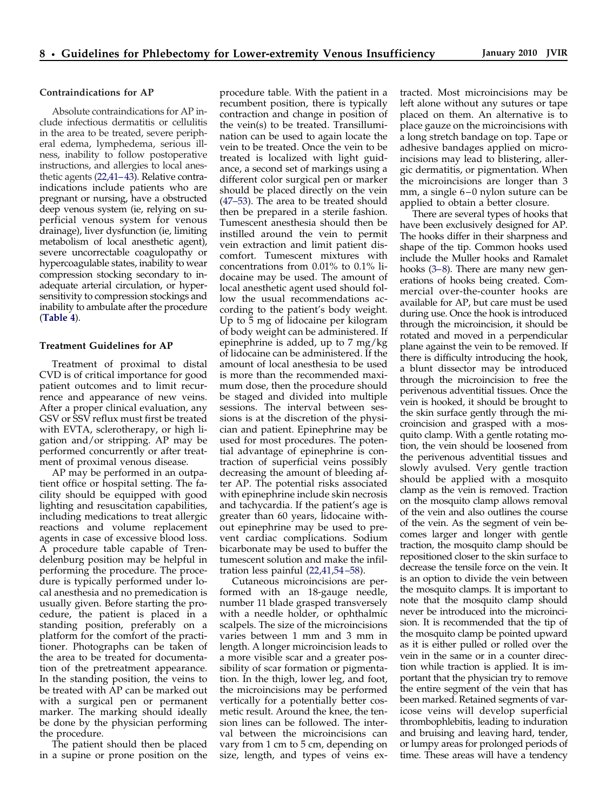## **Contraindications for AP**

Absolute contraindications for AP include infectious dermatitis or cellulitis in the area to be treated, severe peripheral edema, lymphedema, serious illness, inability to follow postoperative instructions, and allergies to local anesthetic agents  $(22,41-43)$ . Relative contraindications include patients who are pregnant or nursing, have a obstructed deep venous system (ie, relying on superficial venous system for venous drainage), liver dysfunction (ie, limiting metabolism of local anesthetic agent), severe uncorrectable coagulopathy or hypercoagulable states, inability to wear compression stocking secondary to inadequate arterial circulation, or hypersensitivity to compression stockings and inability to ambulate after the procedure (**[Table 4](#page-6-0)**).

#### **Treatment Guidelines for AP**

Treatment of proximal to distal CVD is of critical importance for good patient outcomes and to limit recurrence and appearance of new veins. After a proper clinical evaluation, any GSV or SSV reflux must first be treated with EVTA, sclerotherapy, or high ligation and/or stripping. AP may be performed concurrently or after treatment of proximal venous disease.

AP may be performed in an outpatient office or hospital setting. The facility should be equipped with good lighting and resuscitation capabilities, including medications to treat allergic reactions and volume replacement agents in case of excessive blood loss. A procedure table capable of Trendelenburg position may be helpful in performing the procedure. The procedure is typically performed under local anesthesia and no premedication is usually given. Before starting the procedure, the patient is placed in a standing position, preferably on a platform for the comfort of the practitioner. Photographs can be taken of the area to be treated for documentation of the pretreatment appearance. In the standing position, the veins to be treated with AP can be marked out with a surgical pen or permanent marker. The marking should ideally be done by the physician performing the procedure.

The patient should then be placed in a supine or prone position on the

procedure table. With the patient in a recumbent position, there is typically contraction and change in position of the vein(s) to be treated. Transillumination can be used to again locate the vein to be treated. Once the vein to be treated is localized with light guidance, a second set of markings using a different color surgical pen or marker should be placed directly on the vein [\(47–53\)](#page-11-0). The area to be treated should then be prepared in a sterile fashion. Tumescent anesthesia should then be instilled around the vein to permit vein extraction and limit patient discomfort. Tumescent mixtures with concentrations from 0.01% to 0.1% lidocaine may be used. The amount of local anesthetic agent used should follow the usual recommendations according to the patient's body weight. Up to 5 mg of lidocaine per kilogram of body weight can be administered. If epinephrine is added, up to 7 mg/kg of lidocaine can be administered. If the amount of local anesthesia to be used is more than the recommended maximum dose, then the procedure should be staged and divided into multiple sessions. The interval between sessions is at the discretion of the physician and patient. Epinephrine may be used for most procedures. The potential advantage of epinephrine is contraction of superficial veins possibly decreasing the amount of bleeding after AP. The potential risks associated with epinephrine include skin necrosis and tachycardia. If the patient's age is greater than 60 years, lidocaine without epinephrine may be used to prevent cardiac complications. Sodium bicarbonate may be used to buffer the tumescent solution and make the infiltration less painful [\(22,41,54 –58\)](#page-11-0).

Cutaneous microincisions are performed with an 18-gauge needle, number 11 blade grasped transversely with a needle holder, or ophthalmic scalpels. The size of the microincisions varies between 1 mm and 3 mm in length. A longer microincision leads to a more visible scar and a greater possibility of scar formation or pigmentation. In the thigh, lower leg, and foot, the microincisions may be performed vertically for a potentially better cosmetic result. Around the knee, the tension lines can be followed. The interval between the microincisions can vary from 1 cm to 5 cm, depending on size, length, and types of veins ex-

tracted. Most microincisions may be left alone without any sutures or tape placed on them. An alternative is to place gauze on the microincisions with a long stretch bandage on top. Tape or adhesive bandages applied on microincisions may lead to blistering, allergic dermatitis, or pigmentation. When the microincisions are longer than 3 mm, a single 6-0 nylon suture can be applied to obtain a better closure.

There are several types of hooks that have been exclusively designed for AP. The hooks differ in their sharpness and shape of the tip. Common hooks used include the Muller hooks and Ramalet hooks (3–8). There are many new generations of hooks being created. Commercial over-the-counter hooks are available for AP, but care must be used during use. Once the hook is introduced through the microincision, it should be rotated and moved in a perpendicular plane against the vein to be removed. If there is difficulty introducing the hook, a blunt dissector may be introduced through the microincision to free the perivenous adventitial tissues. Once the vein is hooked, it should be brought to the skin surface gently through the microincision and grasped with a mosquito clamp. With a gentle rotating motion, the vein should be loosened from the perivenous adventitial tissues and slowly avulsed. Very gentle traction should be applied with a mosquito clamp as the vein is removed. Traction on the mosquito clamp allows removal of the vein and also outlines the course of the vein. As the segment of vein becomes larger and longer with gentle traction, the mosquito clamp should be repositioned closer to the skin surface to decrease the tensile force on the vein. It is an option to divide the vein between the mosquito clamps. It is important to note that the mosquito clamp should never be introduced into the microincision. It is recommended that the tip of the mosquito clamp be pointed upward as it is either pulled or rolled over the vein in the same or in a counter direction while traction is applied. It is important that the physician try to remove the entire segment of the vein that has been marked. Retained segments of varicose veins will develop superficial thrombophlebitis, leading to induration and bruising and leaving hard, tender, or lumpy areas for prolonged periods of time. These areas will have a tendency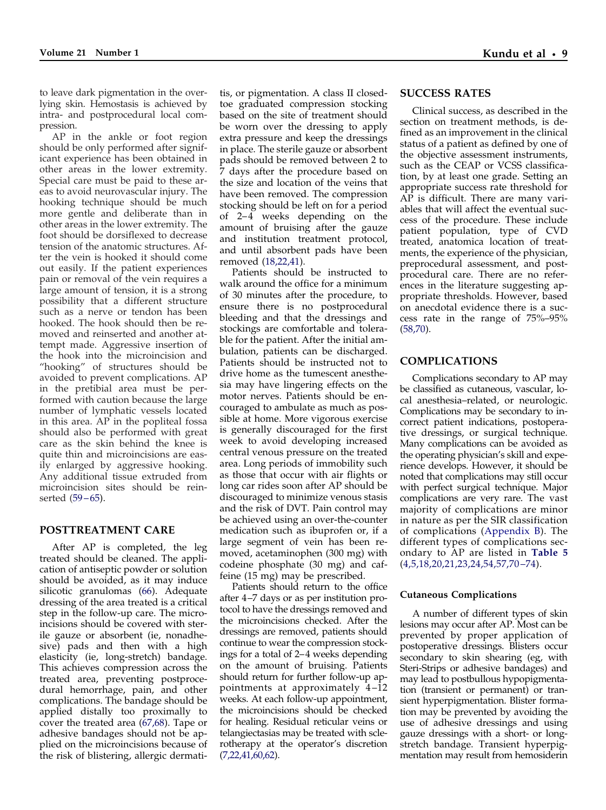to leave dark pigmentation in the overlying skin. Hemostasis is achieved by intra- and postprocedural local compression.

AP in the ankle or foot region should be only performed after significant experience has been obtained in other areas in the lower extremity. Special care must be paid to these areas to avoid neurovascular injury. The hooking technique should be much more gentle and deliberate than in other areas in the lower extremity. The foot should be dorsiflexed to decrease tension of the anatomic structures. After the vein is hooked it should come out easily. If the patient experiences pain or removal of the vein requires a large amount of tension, it is a strong possibility that a different structure such as a nerve or tendon has been hooked. The hook should then be removed and reinserted and another attempt made. Aggressive insertion of the hook into the microincision and "hooking" of structures should be avoided to prevent complications. AP in the pretibial area must be performed with caution because the large number of lymphatic vessels located in this area. AP in the popliteal fossa should also be performed with great care as the skin behind the knee is quite thin and microincisions are easily enlarged by aggressive hooking. Any additional tissue extruded from microincision sites should be reinserted (59-65).

# **POSTTREATMENT CARE**

After AP is completed, the leg treated should be cleaned. The application of antiseptic powder or solution should be avoided, as it may induce silicotic granulomas [\(66\)](#page-12-0). Adequate dressing of the area treated is a critical step in the follow-up care. The microincisions should be covered with sterile gauze or absorbent (ie, nonadhesive) pads and then with a high elasticity (ie, long-stretch) bandage. This achieves compression across the treated area, preventing postprocedural hemorrhage, pain, and other complications. The bandage should be applied distally too proximally to cover the treated area [\(67,68\)](#page-12-0). Tape or adhesive bandages should not be applied on the microincisions because of the risk of blistering, allergic dermati-

tis, or pigmentation. A class II closedtoe graduated compression stocking based on the site of treatment should be worn over the dressing to apply extra pressure and keep the dressings in place. The sterile gauze or absorbent pads should be removed between 2 to 7 days after the procedure based on the size and location of the veins that have been removed. The compression stocking should be left on for a period of 2–4 weeks depending on the amount of bruising after the gauze and institution treatment protocol, and until absorbent pads have been removed [\(18,22,41\)](#page-11-0).

Patients should be instructed to walk around the office for a minimum of 30 minutes after the procedure, to ensure there is no postprocedural bleeding and that the dressings and stockings are comfortable and tolerable for the patient. After the initial ambulation, patients can be discharged. Patients should be instructed not to drive home as the tumescent anesthesia may have lingering effects on the motor nerves. Patients should be encouraged to ambulate as much as possible at home. More vigorous exercise is generally discouraged for the first week to avoid developing increased central venous pressure on the treated area. Long periods of immobility such as those that occur with air flights or long car rides soon after AP should be discouraged to minimize venous stasis and the risk of DVT. Pain control may be achieved using an over-the-counter medication such as ibuprofen or, if a large segment of vein has been removed, acetaminophen (300 mg) with codeine phosphate (30 mg) and caffeine (15 mg) may be prescribed.

Patients should return to the office after 4 –7 days or as per institution protocol to have the dressings removed and the microincisions checked. After the dressings are removed, patients should continue to wear the compression stockings for a total of 2– 4 weeks depending on the amount of bruising. Patients should return for further follow-up appointments at approximately 4 –12 weeks. At each follow-up appointment, the microincisions should be checked for healing. Residual reticular veins or telangiectasias may be treated with sclerotherapy at the operator's discretion [\(7,22,41,60,62\)](#page-10-0).

# **SUCCESS RATES**

Clinical success, as described in the section on treatment methods, is defined as an improvement in the clinical status of a patient as defined by one of the objective assessment instruments, such as the CEAP or VCSS classification, by at least one grade. Setting an appropriate success rate threshold for AP is difficult. There are many variables that will affect the eventual success of the procedure. These include patient population, type of CVD treated, anatomica location of treatments, the experience of the physician, preprocedural assessment, and postprocedural care. There are no references in the literature suggesting appropriate thresholds. However, based on anecdotal evidence there is a success rate in the range of 75%–95% [\(58,70\)](#page-12-0).

## **COMPLICATIONS**

Complications secondary to AP may be classified as cutaneous, vascular, local anesthesia–related, or neurologic. Complications may be secondary to incorrect patient indications, postoperative dressings, or surgical technique. Many complications can be avoided as the operating physician's skill and experience develops. However, it should be noted that complications may still occur with perfect surgical technique. Major complications are very rare. The vast majority of complications are minor in nature as per the SIR classification of complications ([Appendix B](#page-10-0)). The different types of complications secondary to AP are listed in **[Table 5](#page-9-0)** [\(4,5,18,20,21,23,24,54,57,70 –74\)](#page-10-0).

#### **Cutaneous Complications**

A number of different types of skin lesions may occur after AP. Most can be prevented by proper application of postoperative dressings. Blisters occur secondary to skin shearing (eg, with Steri-Strips or adhesive bandages) and may lead to postbullous hypopigmentation (transient or permanent) or transient hyperpigmentation. Blister formation may be prevented by avoiding the use of adhesive dressings and using gauze dressings with a short- or longstretch bandage. Transient hyperpigmentation may result from hemosiderin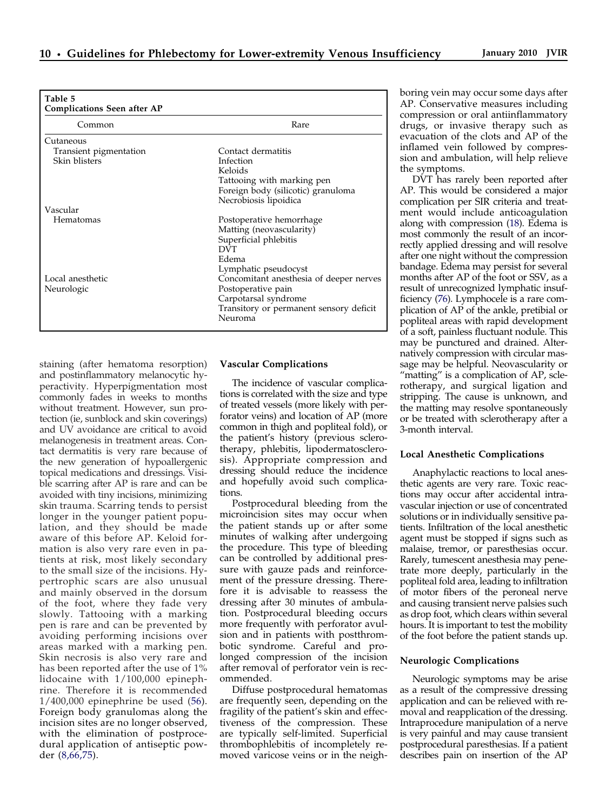<span id="page-9-0"></span>

| Table 5<br><b>Complications Seen after AP</b> |                                         |
|-----------------------------------------------|-----------------------------------------|
| Common                                        | Rare                                    |
| Cutaneous                                     |                                         |
| Transient pigmentation                        | Contact dermatitis                      |
| Skin blisters                                 | Infection                               |
|                                               | Keloids                                 |
|                                               | Tattooing with marking pen              |
|                                               | Foreign body (silicotic) granuloma      |
|                                               | Necrobiosis lipoidica                   |
| Vascular                                      |                                         |
| Hematomas                                     | Postoperative hemorrhage                |
|                                               | Matting (neovascularity)                |
|                                               | Superficial phlebitis                   |
|                                               | <b>DVT</b>                              |
|                                               | Edema                                   |
|                                               | Lymphatic pseudocyst                    |
| Local anesthetic                              | Concomitant anesthesia of deeper nerves |
| Neurologic                                    | Postoperative pain                      |
|                                               | Carpotarsal syndrome                    |
|                                               | Transitory or permanent sensory deficit |
|                                               | Neuroma                                 |
|                                               |                                         |

staining (after hematoma resorption) and postinflammatory melanocytic hyperactivity. Hyperpigmentation most commonly fades in weeks to months without treatment. However, sun protection (ie, sunblock and skin coverings) and UV avoidance are critical to avoid melanogenesis in treatment areas. Contact dermatitis is very rare because of the new generation of hypoallergenic topical medications and dressings. Visible scarring after AP is rare and can be avoided with tiny incisions, minimizing skin trauma. Scarring tends to persist longer in the younger patient population, and they should be made aware of this before AP. Keloid formation is also very rare even in patients at risk, most likely secondary to the small size of the incisions. Hypertrophic scars are also unusual and mainly observed in the dorsum of the foot, where they fade very slowly. Tattooing with a marking pen is rare and can be prevented by avoiding performing incisions over areas marked with a marking pen. Skin necrosis is also very rare and has been reported after the use of 1% lidocaine with 1/100,000 epinephrine. Therefore it is recommended 1/400,000 epinephrine be used [\(56\)](#page-11-0). Foreign body granulomas along the incision sites are no longer observed, with the elimination of postprocedural application of antiseptic powder [\(8,66,75\)](#page-11-0).

## **Vascular Complications**

The incidence of vascular complications is correlated with the size and type of treated vessels (more likely with perforator veins) and location of AP (more common in thigh and popliteal fold), or the patient's history (previous sclerotherapy, phlebitis, lipodermatosclerosis). Appropriate compression and dressing should reduce the incidence and hopefully avoid such complications.

Postprocedural bleeding from the microincision sites may occur when the patient stands up or after some minutes of walking after undergoing the procedure. This type of bleeding can be controlled by additional pressure with gauze pads and reinforcement of the pressure dressing. Therefore it is advisable to reassess the dressing after 30 minutes of ambulation. Postprocedural bleeding occurs more frequently with perforator avulsion and in patients with postthrombotic syndrome. Careful and prolonged compression of the incision after removal of perforator vein is recommended.

Diffuse postprocedural hematomas are frequently seen, depending on the fragility of the patient's skin and effectiveness of the compression. These are typically self-limited. Superficial thrombophlebitis of incompletely removed varicose veins or in the neighboring vein may occur some days after AP. Conservative measures including compression or oral antiinflammatory drugs, or invasive therapy such as evacuation of the clots and AP of the inflamed vein followed by compression and ambulation, will help relieve the symptoms.

DVT has rarely been reported after AP. This would be considered a major complication per SIR criteria and treatment would include anticoagulation along with compression [\(18\)](#page-11-0). Edema is most commonly the result of an incorrectly applied dressing and will resolve after one night without the compression bandage. Edema may persist for several months after AP of the foot or SSV, as a result of unrecognized lymphatic insufficiency [\(76\)](#page-12-0). Lymphocele is a rare complication of AP of the ankle, pretibial or popliteal areas with rapid development of a soft, painless fluctuant nodule. This may be punctured and drained. Alternatively compression with circular massage may be helpful. Neovascularity or "matting" is a complication of AP, sclerotherapy, and surgical ligation and stripping. The cause is unknown, and the matting may resolve spontaneously or be treated with sclerotherapy after a 3-month interval.

## **Local Anesthetic Complications**

Anaphylactic reactions to local anesthetic agents are very rare. Toxic reactions may occur after accidental intravascular injection or use of concentrated solutions or in individually sensitive patients. Infiltration of the local anesthetic agent must be stopped if signs such as malaise, tremor, or paresthesias occur. Rarely, tumescent anesthesia may penetrate more deeply, particularly in the popliteal fold area, leading to infiltration of motor fibers of the peroneal nerve and causing transient nerve palsies such as drop foot, which clears within several hours. It is important to test the mobility of the foot before the patient stands up.

## **Neurologic Complications**

Neurologic symptoms may be arise as a result of the compressive dressing application and can be relieved with removal and reapplication of the dressing. Intraprocedure manipulation of a nerve is very painful and may cause transient postprocedural paresthesias. If a patient describes pain on insertion of the AP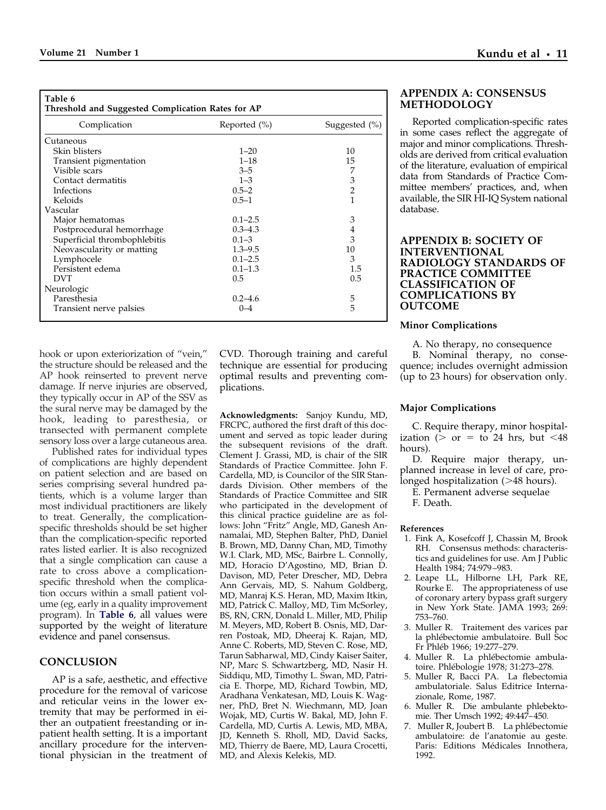<span id="page-10-0"></span>

| Table 6<br>Threshold and Suggested Complication Rates for AP |                  |                   |  |  |  |
|--------------------------------------------------------------|------------------|-------------------|--|--|--|
| Complication                                                 | Reported $(\% )$ | Suggested $(\% )$ |  |  |  |
| Cutaneous                                                    |                  |                   |  |  |  |
| Skin blisters                                                | $1 - 20$         | 10                |  |  |  |
| Transient pigmentation                                       | $1 - 18$         | 15                |  |  |  |
| Visible scars                                                | $3 - 5$          |                   |  |  |  |
| Contact dermatitis                                           | $1 - 3$          | 3                 |  |  |  |
| <b>Infections</b>                                            | $0.5 - 2$        | $\overline{2}$    |  |  |  |
| Keloids                                                      | $0.5 - 1$        |                   |  |  |  |
| Vascular                                                     |                  |                   |  |  |  |
| Major hematomas                                              | $0.1 - 2.5$      | 3                 |  |  |  |
| Postprocedural hemorrhage                                    | $0.3 - 4.3$      | 4                 |  |  |  |
| Superficial thrombophlebitis                                 | $0.1 - 3$        | 3                 |  |  |  |
| Neovascularity or matting                                    | $1.3 - 9.5$      | 10                |  |  |  |
| Lymphocele                                                   | $0.1 - 2.5$      | 3                 |  |  |  |
| Persistent edema                                             | $0.1 - 1.3$      | 1.5               |  |  |  |
| <b>DVT</b>                                                   | 0.5              | 0.5               |  |  |  |
| Neurologic                                                   |                  |                   |  |  |  |
| Paresthesia                                                  | $0.2 - 4.6$      | 5                 |  |  |  |
| Transient nerve palsies                                      | $0 - 4$          | 5                 |  |  |  |

hook or upon exteriorization of "vein," the structure should be released and the AP hook reinserted to prevent nerve damage. If nerve injuries are observed, they typically occur in AP of the SSV as the sural nerve may be damaged by the hook, leading to paresthesia, or transected with permanent complete sensory loss over a large cutaneous area.

Published rates for individual types of complications are highly dependent on patient selection and are based on series comprising several hundred patients, which is a volume larger than most individual practitioners are likely to treat. Generally, the complicationspecific thresholds should be set higher than the complication-specific reported rates listed earlier. It is also recognized that a single complication can cause a rate to cross above a complicationspecific threshold when the complication occurs within a small patient volume (eg, early in a quality improvement program). In **Table 6**, all values were supported by the weight of literature evidence and panel consensus.

## **CONCLUSION**

AP is a safe, aesthetic, and effective procedure for the removal of varicose and reticular veins in the lower extremity that may be performed in either an outpatient freestanding or inpatient health setting. It is a important ancillary procedure for the interventional physician in the treatment of

CVD. Thorough training and careful technique are essential for producing optimal results and preventing complications.

**Acknowledgments:** Sanjoy Kundu, MD, FRCPC, authored the first draft of this document and served as topic leader during the subsequent revisions of the draft. Clement J. Grassi, MD, is chair of the SIR Standards of Practice Committee. John F. Cardella, MD, is Councilor of the SIR Standards Division. Other members of the Standards of Practice Committee and SIR who participated in the development of this clinical practice guideline are as follows: John "Fritz" Angle, MD, Ganesh Annamalai, MD, Stephen Balter, PhD, Daniel B. Brown, MD, Danny Chan, MD, Timothy W.I. Clark, MD, MSc, Bairbre L. Connolly, MD, Horacio D'Agostino, MD, Brian D. Davison, MD, Peter Drescher, MD, Debra Ann Gervais, MD, S. Nahum Goldberg, MD, Manraj K.S. Heran, MD, Maxim Itkin, MD, Patrick C. Malloy, MD, Tim McSorley, BS, RN, CRN, Donald L. Miller, MD, Philip M. Meyers, MD, Robert B. Osnis, MD, Darren Postoak, MD, Dheeraj K. Rajan, MD, Anne C. Roberts, MD, Steven C. Rose, MD, Tarun Sabharwal, MD, Cindy Kaiser Saiter, NP, Marc S. Schwartzberg, MD, Nasir H. Siddiqu, MD, Timothy L. Swan, MD, Patricia E. Thorpe, MD, Richard Towbin, MD, Aradhana Venkatesan, MD, Louis K. Wagner, PhD, Bret N. Wiechmann, MD, Joan Wojak, MD, Curtis W. Bakal, MD, John F. Cardella, MD, Curtis A. Lewis, MD, MBA, JD, Kenneth S. Rholl, MD, David Sacks, MD, Thierry de Baere, MD, Laura Crocetti, MD, and Alexis Kelekis, MD.

# **APPENDIX A: CONSENSUS METHODOLOGY**

Reported complication-specific rates in some cases reflect the aggregate of major and minor complications. Thresholds are derived from critical evaluation of the literature, evaluation of empirical data from Standards of Practice Committee members' practices, and, when available, the SIR HI-IQ System national database.

## **APPENDIX B: SOCIETY OF INTERVENTIONAL RADIOLOGY STANDARDS OF PRACTICE COMMITTEE CLASSIFICATION OF COMPLICATIONS BY OUTCOME**

## **Minor Complications**

A. No therapy, no consequence

B. Nominal therapy, no consequence; includes overnight admission (up to 23 hours) for observation only.

## **Major Complications**

C. Require therapy, minor hospitalization ( $>$  or  $=$  to 24 hrs, but  $\leq$ 48 hours).

D. Require major therapy, unplanned increase in level of care, prolonged hospitalization (>48 hours).

E. Permanent adverse sequelae F. Death.

#### **References**

- 1. Fink A, Kosefcoff J, Chassin M, Brook RH. Consensus methods: characteristics and guidelines for use. Am J Public Health 1984; 74:979 –983.
- 2. Leape LL, Hilborne LH, Park RE, Rourke E. The appropriateness of use of coronary artery bypass graft surgery in New York State. JAMA 1993; 269: 753–760.
- 3. Muller R. Traitement des varices par la phlébectomie ambulatoire. Bull Soc Fr Phléb 1966; 19:277–279.
- 4. Muller R. La phlébectomie ambulatoire. Phlébologie 1978; 31:273–278.
- 5. Muller R, Bacci PA. La flebectomia ambulatoriale. Salus Editrice Internazionale, Rome, 1987.
- 6. Muller R. Die ambulante phlebektomie. Ther Umsch 1992; 49:447– 450.
- 7. Muller R, Joubert B. La phlébectomie ambulatoire: de l'anatomie au geste. Paris: Editions Médicales Innothera, 1992.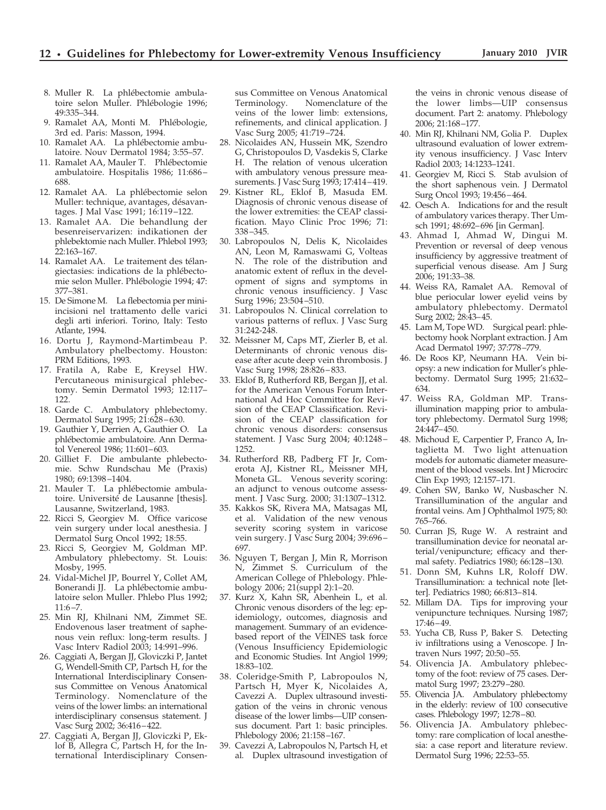- <span id="page-11-0"></span>8. Muller R. La phlébectomie ambulatoire selon Muller. Phlébologie 1996; 49:335–344.
- 9. Ramalet AA, Monti M. Phlébologie, 3rd ed. Paris: Masson, 1994.
- 10. Ramalet AA. La phlébectomie ambulatoire. Nouv Dermatol 1984; 3:55–57.
- 11. Ramalet AA, Mauler T. Phlébectomie ambulatoire. Hospitalis 1986; 11:686 – 688.
- 12. Ramalet AA. La phlébectomie selon Muller: technique, avantages, désavantages. J Mal Vasc 1991; 16:119 –122.
- 13. Ramalet AA. Die behandlung der besenreiservarizen: indikationen der phlebektomie nach Muller. Phlebol 1993; 22:163–167.
- 14. Ramalet AA. Le traitement des télangiectasies: indications de la phlébectomie selon Muller. Phlébologie 1994; 47: 377–381.
- 15. De Simone M. La flebectomia per miniincisioni nel trattamento delle varici degli arti inferiori. Torino, Italy: Testo Atlante, 1994.
- 16. Dortu J, Raymond-Martimbeau P. Ambulatory phelbectomy. Houston: PRM Editions, 1993.
- 17. Fratila A, Rabe E, Kreysel HW. Percutaneous minisurgical phlebectomy. Semin Dermatol 1993; 12:117– 122.
- 18. Garde C. Ambulatory phlebectomy. Dermatol Surg 1995; 21:628-630.
- 19. Gauthier Y, Derrien A, Gauthier O. La phlébectomie ambulatoire. Ann Dermatol Venereol 1986; 11:601– 603.
- 20. Gilliet F. Die ambulante phlebectomie. Schw Rundschau Me (Praxis) 1980; 69:1398 –1404.
- 21. Mauler T. La phlébectomie ambulatoire. Université de Lausanne [thesis]. Lausanne, Switzerland, 1983.
- 22. Ricci S, Georgiev M. Office varicose vein surgery under local anesthesia. J Dermatol Surg Oncol 1992; 18:55.
- 23. Ricci S, Georgiev M, Goldman MP. Ambulatory phlebectomy. St. Louis: Mosby, 1995.
- 24. Vidal-Michel JP, Bourrel Y, Collet AM, Bonerandi JJ. La phlébectomie ambulatoire selon Muller. Phlebo Plus 1992; 11:6 –7.
- 25. Min RJ, Khilnani NM, Zimmet SE. Endovenous laser treatment of saphenous vein reflux: long-term results. J Vasc Interv Radiol 2003; 14:991–996.
- 26. Caggiati A, Bergan JJ, Gloviczki P, Jantet G, Wendell-Smith CP, Partsch H, for the International Interdisciplinary Consensus Committee on Venous Anatomical Terminology. Nomenclature of the veins of the lower limbs: an international interdisciplinary consensus statement. J Vasc Surg 2002; 36:416 – 422.
- 27. Caggiati A, Bergan JJ, Gloviczki P, Eklof B, Allegra C, Partsch H, for the International Interdisciplinary Consen-

sus Committee on Venous Anatomical Nomenclature of the veins of the lower limb: extensions, refinements, and clinical application. J Vasc Surg 2005; 41:719 –724.

- 28. Nicolaides AN, Hussein MK, Szendro G, Christopoulos D, Vasdekis S, Clarke H. The relation of venous ulceration with ambulatory venous pressure measurements. J Vasc Surg 1993; 17:414 – 419.
- Kistner RL, Eklof B, Masuda EM. Diagnosis of chronic venous disease of the lower extremities: the CEAP classification. Mayo Clinic Proc 1996; 71: 338 –345.
- 30. Labropoulos N, Delis K, Nicolaides AN, Leon M, Ramaswami G, Volteas N. The role of the distribution and anatomic extent of reflux in the development of signs and symptoms in chronic venous insufficiency. J Vasc Surg 1996; 23:504 –510.
- 31. Labropoulos N. Clinical correlation to various patterns of reflux. J Vasc Surg 31:242-248.
- 32. Meissner M, Caps MT, Zierler B, et al. Determinants of chronic venous disease after acute deep vein thrombosis. J Vasc Surg 1998; 28:826 – 833.
- 33. Eklof B, Rutherford RB, Bergan JJ, et al. for the American Venous Forum International Ad Hoc Committee for Revision of the CEAP Classification. Revision of the CEAP classification for chronic venous disorders: consensus statement. J Vasc Surg 2004; 40:1248 – 1252.
- 34. Rutherford RB, Padberg FT Jr, Comerota AJ, Kistner RL, Meissner MH, Moneta GL. Venous severity scoring: an adjunct to venous outcome assessment. J Vasc Surg. 2000; 31:1307–1312.
- 35. Kakkos SK, Rivera MA, Matsagas MI, et al. Validation of the new venous severity scoring system in varicose vein surgery. J Vasc Surg 2004; 39:696-697.
- 36. Nguyen T, Bergan J, Min R, Morrison N, Zimmet S. Curriculum of the American College of Phlebology. Phlebology 2006; 21(suppl 2):1–20.
- 37. Kurz X, Kahn SR, Abenhein L, et al. Chronic venous disorders of the leg: epidemiology, outcomes, diagnosis and management. Summary of an evidencebased report of the VEINES task force (Venous Insufficiency Epidemiologic and Economic Studies. Int Angiol 1999; 18:83–102.
- 38. Coleridge-Smith P, Labropoulos N, Partsch H, Myer K, Nicolaides A, Cavezzi A. Duplex ultrasound investigation of the veins in chronic venous disease of the lower limbs—UIP consensus document. Part 1: basic principles. Phlebology 2006; 21:158 –167.
- 39. Cavezzi A, Labropoulos N, Partsch H, et al. Duplex ultrasound investigation of

the veins in chronic venous disease of the lower limbs—UIP consensus document. Part 2: anatomy. Phlebology 2006; 21:168 –177.

- 40. Min RJ, Khilnani NM, Golia P. Duplex ultrasound evaluation of lower extremity venous insufficiency. J Vasc Interv Radiol 2003; 14:1233–1241.
- 41. Georgiev M, Ricci S. Stab avulsion of the short saphenous vein. J Dermatol Surg Oncol 1993; 19:456 – 464.
- 42. Oesch A. Indications for and the result of ambulatory varices therapy. Ther Umsch 1991; 48:692– 696 [in German].
- 43. Ahmad I, Ahmad W, Dingui M. Prevention or reversal of deep venous insufficiency by aggressive treatment of superficial venous disease. Am J Surg 2006; 191:33–38.
- 44. Weiss RA, Ramalet AA. Removal of blue periocular lower eyelid veins by ambulatory phlebectomy. Dermatol Surg 2002; 28:43– 45.
- 45. Lam M, Tope WD. Surgical pearl: phlebectomy hook Norplant extraction. J Am Acad Dermatol 1997; 37:778 –779.
- 46. De Roos KP, Neumann HA. Vein biopsy: a new indication for Muller's phlebectomy. Dermatol Surg 1995; 21:632– 634.
- 47. Weiss RA, Goldman MP. Transillumination mapping prior to ambulatory phlebectomy. Dermatol Surg 1998;  $24:447 - 450.$
- 48. Michoud E, Carpentier P, Franco A, Intaglietta M. Two light attenuation models for automatic diameter measurement of the blood vessels. Int J Microcirc Clin Exp 1993; 12:157–171.
- 49. Cohen SW, Banko W, Nusbascher N. Transillumination of the angular and frontal veins. Am J Ophthalmol 1975; 80: 765–766.
- 50. Curran JS, Ruge W. A restraint and transillumination device for neonatal arterial/venipuncture; efficacy and thermal safety. Pediatrics 1980; 66:128 –130.
- 51. Donn SM, Kuhns LR, Roloff DW. Transillumination: a technical note [letter]. Pediatrics 1980; 66:813– 814.
- 52. Millam DA. Tips for improving your venipuncture techniques. Nursing 1987; 17:46 – 49.
- 53. Yucha CB, Russ P, Baker S. Detecting iv infiltrations using a Venoscope. J Intraven Nurs 1997; 20:50 –55.
- 54. Olivencia JA. Ambulatory phlebectomy of the foot: review of 75 cases. Dermatol Surg 1997; 23:279 –280.
- 55. Olivencia JA. Ambulatory phlebectomy in the elderly: review of 100 consecutive cases. Phlebology 1997; 12:78–80.
- 56. Olivencia JA. Ambulatory phlebectomy: rare complication of local anesthesia: a case report and literature review. Dermatol Surg 1996; 22:53–55.